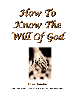



*By John Edmiston*

**© Copyright, AIBI-International 2007, may be freely used for non-profit Christian ministry - but must not be sold in any way.**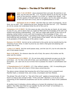# **Chapter Chapter 1 – The Idea he Idea Of The Will Of Of The Will Of God**



**John 7:16-18 MKJV** *Jesus answered them and said, My doctrine is not Mine, but His who sent Me. (17) If anyone desires to do His will, he shall know of the doctrine, whether it is of God, or I speak from Myself. (18) He who speaks of himself seeks his own glory, but he who seeks the glory of Him who sent Him is true, and no unrighteousness is in Him.*

**Ephesians 5:15-17 MKJV** *See then that you walk circumspectly, not as fools, but as wise, (16) redeeming the time, because the days are evil. (17) Therefore do not be unwise, but understand what the will of the Lord is.*

**Colossians 1:9-12 MKJV** *For this cause we also, since the day we heard, do not cease to pray for you, and to desire that you might be filled with the knowledge of His will in all wisdom and spiritual understanding, (10) that you might walk worthy of the Lord to all pleasing, being fruitful in every work and increasing in the knowledge of God, (11) being empowered with all power, according to the might of His glory, to all patience and long-suffering with joyfulness, (12) giving thanks to the Father, who has made us meet to be partakers of the inheritance of the saints in light*.

**Romans 12:2 MKJV** *And do not be conformed to this world, but be transformed by the renewing of your mind, in order to prove by you what is that good and pleasing and perfect will of God.*

**1 John 2:17 MKJV** *And the world passes away, and the lust of it, but he who does the will of God abides forever.*

**Mark 3:35 MKJV** *For whoever does the will of God, the same is My brother and My sister and My mother.*

**1 Thessalonians 4:2-4 MKJV** *(2) For we know what commands we gave you by the Lord Jesus. (3) For this is the will of God, your sanctification, for you to abstain from fornication, (4) each one of you to know how to possess his vessel in sanctification and honor*

**1 Thessalonians 5:17-18 MKJV** *(17) Pray without ceasing. (18) In everything give thanks, for this is the will of God in Christ Jesus concerning you.*

The above verses indicate that knowing the will of God comes from a prayerful and thankful heart, a renewed mind, and a wise, circumspect and holy lifestyle.

The phrase "the will of God" or "the will of the Lord" applies at several levels. At one level it is close to the concept of fate "if the Lord wills" (Romans 1:10,15:32) or the outworking of Old Testament prophecies such as the crucifixion of Jesus Christ (Galatians 1:4).

At another level it indicates a divine calling on a human life ordering it into a divine pattern. Paul often says that he is an apostle "by the will of God" (2 Corinthians 1:1, Ephesians 1:1,. Colossians 1:1, 2 Timothy1:1).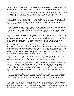On yet another level it indicates God's moral law such as abstaining from fornication, or an appropriate Christian attitude such as thankfulness (1 Thessalonians 4:2-4, 5:17-18).

The concept of the will of God also involves difficult and arduous obedience under trial for which we will receive a reward. This is something we should "stand in" and "fulfill" (Colossians 4:12, Hebrews 10:36, 1 Peter 2:13-16, 3:15-17, 4:2,19).

Finally the will of God has an almost mystical level to it, bringing entrance into eternal life and causing us to "abide forever" (1 John 2:17) as the true brothers and sisters of the Lord Jesus (Mark 3:35) and makes us to be "partakers of the inheritance of the saints in light" (Colossians 1:12).

The will of God is known by the wise,Spirit-filled Christian (Ephesians 5:15-20), with a renewed mind (Romans 12:1,2), who seeks to know the truth so he can do God's will (John 7:16-18) and this knowledge is something that he/she can be spiritually "filled with" (Colossians 1:9-12) through prayer (James 1:5-18, Colossians 1:9-12).

So we see that the will of God is primarily revealed to us so we can become holy. The will of God is not mainly about success in this world, which may be included, but is tangential to the real matter at hand - which is making holy disciples of Jesus Christ. Nor is "the will of God" even about success in ministry - because that also can pander to our pride. Rather it is about becoming obedient, holy, wise and enduring saints of God.

The will of God is to be loving, forgiving, kind, thankful, and pure in heart and life. We get terribly mixed up on this point because our agenda and life-script is often of another kind entirely. Our agenda can be the Great American (or Australian or Filipino etc) Dream - a set of personal ambitions and desires, that we ask God to bless and fulfill. So when we ask God for which career to do we can be thinking "law , medicine or architecture" and may be unprepared to be called to be a faith missionary!

Sometimes the will of God is not about "which one" but rather "which attitude". God might not care much whether you live in this neighborhood or that, instead what He wants is a person who loves their neighbor no matter where they are!

I think one area that many people are out of the will of God is in the area of selfishness. Some Christians are very hard-hearted and stingy and proud. Such a person is so far from "the spirit of Christ" that they are practically in apostasy! (1 John 3:16-18, 1 Timothy 5:8). Materialism is causing many Christians to chase wealth and to pierce themselves with many a pang as they stray from the faith and the will of God (1 Timothy 6:6-10).

Another serious area where people get out of the will of God is in wrong inner attitudes such as unforgiveness, bitterness, clamor, wrath and the desire for revenge. Impurity, lust, fornication, pornography, the occult and so on are also things that can lead us far from God's will.

Thus the will of God is not so much about making the "right decision" (regarding career, marriage, house, church and so forth) as it is about being the "right person". The Bible gives us guidance about whom to marry ( a single person of good character who is a true Christian believer) and we should start there. We have no mandate to ignore this and say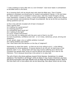" I had a leading to marry Bob who is a non-Christian". God never leads in contradiction to the Bible which is His Word.

So in knowing God's will we should start with what the Bible says. Then if further guidance is necessary we should pray for wisdom and guidance (James 1:5-8) and listen for God's wisdom as it is revealed in various ways. God may reveal through a strong inner impression, a dream or vision, a word of knowledge or wisdom, advice from mature and wise counsel, and sometimes through circumstances. But as we do this we should be asking questions such as:

Is this in line with the revealed will of God in Scripture? Does it glorify God? Is it making me a good person? Is it bearing good fruit? Is it something Jesus would do? Am I walking in the light? Is it pure, truthful and honest? Is it in line with my calling and with the prior work of God in my life? Is it full of quietness, confidence and rest - or is it noisy, clamorous, proud, striving and ambitious? Is lust, greed, anger, envy or selfish ambition involved? Am I being stubborn and willful? Can I face Jesus with this decision on the Day of Judgment?

Submission to what God wants - so that we are truly willing to do it, is the biblical prerequisite for divine guidance: *If anyone desires to do His will, he shall know of the doctrine* (John 7:17). Doing God's will may even involve suffering (as it did for the Christians the apostle Peter wrote to) and be difficult and arduous (as it was for the Hebrews). This is because becoming a holy person is no easy task.

The will of God is the divine pathway toward Christ-likeness. Sometimes it is simple obedience ("be thankful in all things") while at others it may involve missionary journeys and divine encounters with high officials such as Philip and the Ethiopian eunuch. Most of the time God's will is more about who we are becoming, than about where we are living.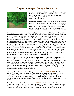## **Chapter 2 - Being On The Right Track In Life**



In part one we dealt with the general issues concerning the will of God in our lives as mainly being God's "moral will" which is revealed in the Scriptures. We saw the "making the right decision" was not as important as "being the right person".

With this much said I would like to move on to issues of the will of God in our life and ministry and the question most Christians ask at some point: "Am I on the right track in life?". The following seven points assume that we have consulted Scripture first. The right track is always within the bounds of the Biblical commandments!

Being on the "right track" should always help us to also be the "right person" - that is *a more Christ-like individual*. If we are worn-out, grumpy, impatient and unloving then no matter how noble the track we may be on, it is probably the wrong one! Whenever I get involved in administration rather than teaching I find myself becoming frustrated, grumpy and irritable. As necessary as administration may be it is outside of my gifting and the spiritual effect is that "the fruit of the Spirit start falling off the tree". Love, joy, peace and patience all seem to vanish when I take on such roles. However as soon as I get back to teaching the love, joy and peace return. Thus one sign that I am on the right track is how I grow as a person when I am doing that particular thing. This especially applies to "activist" Christians who tend to take on too many projects. You can reach the point where good things turn into bad things because they make you into a bad person who neglects friends, family, worship and quiet times and where the fruit of the Spirit have vanished, and have perhaps even morphed into into the "results of the ministry". God produces holy joyous saints, not hamsters on a treadmill!

Another guide to the will of God is a *clear conviction and a sense of inner peace.* If something leaves you inwardly uneasy so that you always have to justify it and find excuses for it - then it is never God's will. What is not from faith is sin! (Romans 14:23) On the other hand we are told to "let the peace of God rule (as umpire) in our hearts" (Colossians 3:15). This means that the peace of God, that inner tranquility of a clear Spirit-filled conscience, is a good guide to where the boundaries of action lie. If we push those boundaries too far we find ourselves in inner discomfort which is God's way of alerting us to a line that has been crossed.

A third guide to the will of God is "*holy wisdom*": **James 3:17-18 MKJV** *But the wisdom that is from above is first truly pure, then peaceable, gentle, easy to be entreated, full of mercy and good fruits, without partiality and without hypocrisy. (18) And the fruit of righteousness is sown in peace by those who make peace.* If the matter seems wise and peaceable and righteous and full of mercy and good fruits then it partakes of holy wisdom and is "from above".

By contrast James also writes: **James 3:14-16 MKJV** *But if you have bitter jealousy and strife in your hearts, do not glory and lie against the truth. (15) This is not the wisdom coming down from above, but is earthly, sensual, devilish. (16) For where envying and strife are, there is confusion and every foul deed.* So if the course of action springs from envy, selfish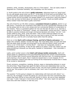ambition, strife, carnality, divisiveness, then it is "from below". This can easily sneak in disguised as a "business mentality" and completely ruin the ministry.

A fourth guide to the will of God is *godly outcomes*, otherwise known as "good fruits". Do you see people saved when you do X? Is the body of Christ built up and edified? Are churches planted, people discipled and Christ proclaimed? Or on a more secular level – is a good worthy service provided? Are people helped? Is it constructive, good and helpful? This is why we have to think about our careers so carefully. Could you justify selling lottery tickets? Does that lead to godly outcomes?

The will of God for our life often contains a *consistent thread or pattern, )*which is our fifth point). I would be very surprised if God called me to be a stockbroker because so far He has always led me into a very simple and non-commercial lifestyle of consecration to the ministry. That is a consistent pattern for me over the last 26 years or so. God has a design for me which is "Franciscan", simple, non-materialistic, joyous and kind. I need to be able to practice kindness and tough commercial decisions are simply "not me". I am simply called to pray, think, write and teach. That is God's historical pattern for me. Yours may well be different. But by now you may have a sense of how God normally deals with you, and His will is normally found within that life-calling.

Point six is that *God's will is always freeing, and full of liberty and grace*. It is Satan who compels, hassles, hurries and nags. The cross takes away our guilt and what God has taken away He does not bring back! As the reformer Martin Luther once said "Hurry is not "of the Devil", it IS the Devil!". God does not manipulate, berate or intimidate us into anything. In fact He has called us to peace. If the only reason you are doing something is because you feel guilty, hassled or manipulated – then reconsider it immediately!

Lastly, point number seven is that *God's will always builds community*. God's will always leads to a deepening of love and fellowship because the central commandments of the Christian faith revolve around fellowship with God and man. If a building program starts tearing a church apart, then it needs be slowed down or even stopped. Or if a grand missionary venture just ends up hurting all the missionaries involved then it needs to be revised or abandoned.

Proud, exclusive, competitive, isolating, divisive, angry or demanding behavior is never the will of God. These things tear apart the fabric of love and relationship that is at the heart of Christian fellowship and the grace of God. The end never justifies the means. We cannot say "this project is just so necessary that I don't care if everyone gets hurt in the process".

The question "Is this going to deepen my relationships with God and with others" is a vital one. No mortgage is worth the taking of a second job if the time commitment also means that there will be no time with God, family or church. No one on their deathbed ever says "I wish I had put in more time at the office!" But many regret not spending more time with their children or with the Lord.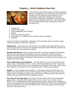# **Chapter Chapter 3 – Direct Guidance Guidance From God**



In the first two parts of this series we looked at general issues surrounding the will of God such as conformity to Scripture and the outcomes of the decision for our sanctification. With that theological and pastoral groundwork established I would like to now examine direct means of guidance from God. The seven means of direct guidance from God I would like to look at in this study are:

- 1. Casting lots
- 2. Dreams and visions
- 3. Inner impressions and intuitions
- 4. Angels
- 5. The voice of the Holy Spirit
- 6. Illumination of a matter by God / Divine insight / Revelation
- 7. Prophecy

I will not include "circumstances" because I do not see that used as a positive, godly method of guidance in the New Testament.

**Casting lots** – was used by the 120 (in Acts 1) to replace Judas with Matthias, and is never used after that in the NT, the implication being that since Pentecost, guidance by the Holy Spirit has superseded this method.

**Dreams and Visions:** Peter's speech on the day of Pentecost quoted Joel's prophecy that "your old men would dream dreams and your young men would see visions". Dreams and visions appear at critical junctures such as Peter going to the house of Cornelius and Paul going to Macedonia. Many Muslims are coming to Christ through such dreams and visions today.

**Inner Impressions and Intuitions:** The Holy Spirit is our main spiritual instructor (John  $14:26$ ,  $1$  Corinthians  $2:9-16$ ,  $1$  John  $2:20,27$ ) and teaches us in the "inner man" and this often comes across to us as impressions and intuitions from God. A bible verse may "speak to us" and we are thus intuitively aware of God's communication.

**Angels:** In the NT angels are everywhere – with Joseph, Peter, Paul and John. The entire book of Revelation is a tour of the future by the angel of the Lord (see the last chapter where he refuses worship). They lead Peter to Cornelius, advise Paul aboard a sinking ship and help Phillip find the Ethiopian eunuch.

**The Voice Of The Holy Spirit:** The phrase "the Holy Spirit said" and its equivalents appear often in the book of Acts (Acts 8:29, 10:19, 11:12, 13:2-4, 15:28, 16:6,7; 20:23, 21:11) indicating that verbal, propositional guidance, beyond mere impressions (such as "Set apart for Me, Saul and Barnabas for the work to which I have called them") was received directly from the Third Person of the Trinity and was part of the spiritual dynamic of the early church.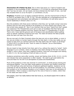**Illumination Of A Matter By God:** This is when God gives us a "spirit of wisdom and revelation in the knowledge of Him" (Ephesians 1:17) so that we understand those things that "eye has not seen, nor ear heard, not have entered into the heart of man...but God has revealed them to us by His Spirit" (1 Corinthians 2:9,10).

**Prophecy:** Prophets such as Agabus predicted famines, and the imprisonment of Paul if he went to Jerusalem Acts 11:28, 21:10). The also operated at a congregational level for encouragement and exhortation and edification (1 Corinthians 14) and some were in church leadership in Antioch (Acts 13:1-4).

Now the problems with these seven methods is that they can "go badly wrong" and many heretics and evil men have claimed to be prophets or to have dreams and visions! This has turned many people off. Now if you maintain that you have "heard from God" people are suspicious! The Thessalonians even got so wary of revelation that Paul had to tell them not to despise prophecy and thus 'quench the Spirit' (1 Thessalonians 5:19,20) . That is why I have laid the ground work of Scripture and sanctification before getting down to specific methods of hearing from God. The rebel will attract the false prophet while the saint will hear from the Lord!

We are now part of a New Covenant where the laws are not on stone tablets, or even in ink, but are written on human hearts through the Holy Spirit. In this new reality we can expect to hear from our spiritual instructor the Holy Spirit who will "teach us all things" (1 John2:20,27) so that we even "have no need of a teacher" (as an intermediary between us and God).

We are meant to hear directly from God, each of us, without the need of a "priest". God's language to us in a dream, vision or prophecy may seem strange at first but we need to accept it, write it down, then test it against Scripture. God even encourages such testing (1 John 4:1-4). No true leading of God will take us into sin!

Guidance sometimes came after worship, prayer and fasting (Acts 10:30, 13:2,3; 14:23) and indicate that some preparation is often needed. We need to get quiet before the Lord and listen for His will in an atmosphere of praise and thankfulness.

Much of the guidance in Acts was received "in community", in small groups praying and worshiping together. Thus one elder would balance out another and wisdom would flow out of the spiritual unity and harmony of believers gathered together. Guidance can be corporate as well as individual. We do not find guidance "by committee" however, or by the numbers or by the financial situation or by a majority vote (say on the admission of the Gentiles). There is always a searching for the voice of God on a matter, rather than for the ideas and ways of men.

God speaks, and if we really believe that God loves us, we should expect Him to talk to us directly.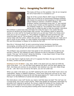# **Part 4 - Recognizing The Will Of God**



This study will focus on the question: *How do we recognize the will of God when it is revealed to us?* 

Page 44 of the current (March 2007) issue of Christianity Today has an article by an anonymous theology professor that shares his surprise at God speaking to him personally (about helping to sponsor a student's studies). The professor noticed a promising young man "X" who wanted to study music ministry at the expensive Christian college the professor taught at. The professor then prays to God asking that he might be able to help the student. God gives

the professor a great book idea and helps him write the book in two weeks flat and secures an advance ten times larger than normal. The professor wants to spend the money on a new roof for his house but God turns up and says "that's my money and I want you to use it to sponsor X". The professor struggles and God promises the roof would be taken care of. The professor's wife says "that God, the roof can wait". The money helps with the tuition, others also provide, unusual arrangements are made and X gets to study at the college. X is also mightily encouraged at how God has provided for him and the professor is shaken to his boots by the Lord.

Now this is "obviously God" at work overcoming human reluctance, teaching, encouraging, providing and the outcome is someone being prepared for the Lord's service who would not get the same education otherwise.

The professor was surprised to hear God speak to him personally. He thought he was having a "brain fit" but realized he wasn't because he was so reluctant to spend the money. This was "not his brain" doing the thinking – it was Jesus' brain! It was Christ within him popping up and saying something.

So one sign that it might be God's will is if it opposes the flesh, the ego and the desire for fame, comfort and self-promotion.

**Galatians 5:16-18 MKJV** *I say, then, Walk in the Spirit and you shall not fulfill the lusts of the flesh. (17) For the flesh lusts against the Spirit, and the Spirit against the flesh. And these are contrary to one another; lest whatever you may will, these things you do. (18) But if you are led by the Spirit, you are not under law.*

When you walk in the Spirit you are NOT satisfying the lusts of the flesh! God's will is not materialistic, fleshly or selfishly ambitious. I have never heard the Lord say to me "John make it your ambition to have an 84 inch flat panel plasma TV". God is not into "toys for the boys" or the fulfillment of carnal and sensual appetites.

But what about a new roof? Surely you need a roof that does not leak? The roof was not a wrong thing, but it was a lower priority. When God speaks He frequently rearranges my priorities from material to spiritual. My concern might be funding for my ministry but God's concern might be how anxious I am getting over it, or a project I should be working on instead of worrying about funding which God will supply in His time.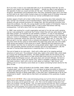Ok if you hear a voice in your head that tells you to do something weird like "go and stand on your head in the middle of the freeway" - should you obey it just because it is the opposite of what you would normally do? No way! Everything has to be tested by Scripture, sanctification and fruitfulness first! That said, sometimes God's will is not what we first want to do. God is often trying to lead us to a higher level of Christian living and sometimes we are determined to live at our normal comfortable level instead!

Another aspect of God's will is that it often forms a surprising story that outwardly may look "normal" but inwardly is full of transformations. There are thousands of seminary students who get unusual provisions for college fees. But this particular provision truly shook this professor, his wife, the young student and the readers of Christianity Today to which the professor is a contributing editor. It was a small intervention with big consequences. I will tell a story from my own experience...

In 1988 I was working for a youth organization and part of my job was youth camping. Just as I was packing for a particular Surf Camp I heard the Lord say quite clearly "pack that black jumper" (In Australia we call sweaters "jumpers"). It was on old stretched, thin awful looking thing but I packed it anyway. It was a cool evening on the first night of camp so I wore it. Immediately I was latched onto by a group of five rather rowdy young girls from a particular school who were the "camp rebels". Black was "in" that year. The girls put gel in my hair, spiked it into a mohawk and adopted me as their leader. To cut a long story short all five came to Christ before the week long camp was over and a bible study group was started in that school as a result!`Obeying God and wearing an old black sweater was they key to seeing five young people saved. Again it was a surprising story that outwardly seemed normal but inwardly was full of transformations. (By the way part of having these experiences is expecting them in the first place.)

This sort of leads to my next point – God's will is often part of an ongoing spiritual adventure of some sort. The professor's book idea, leads to the tuition help, which leads to a young men entering the ministry. The black sweater leads into the stories of five girls getting saved, which leads to a high school bible study and so on and so forth. Or Phillip meets the Ethiopian eunuch, who goes down and converts Ethiopia. We tend to think of God's will as "which car should I buy" which is probably a spiritual non-event that leads nowhere. God's will is not so much about us making a "right choice" and getting a tick on our heavenly score-sheet as it is about connecting human stories for the glory of God.

Finally for today - God's will tends to be humble, meek, hidden, quiet, peaceful, "mustard-seed", and "of the Kingdom". It is not about us being successful or famous but is about God getting the glory for changed lives. The apostles were not full of jealousy and ambition and set on being mega-stars, in fact they were "exhibited last of all as men condemned to death". James tells us that God's will partakes of this quietness of godly wisdom:

**James 3:13-18 MKJV** *Who is wise and knowing among you? Let him show his works by his good conduct with meekness of wisdom. (14) But if you have bitter jealousy and strife in your hearts, do not glory and lie against the truth. (15) This is not the wisdom coming down from above, but is earthly, sensual, devilish. (16) For where envying and strife are, there is confusion and every foul deed. (17) But the wisdom that is from above is first truly pure, then peaceable, gentle, easy to be entreated, full of mercy and good fruits, without partiality and without hypocrisy. (18) And the fruit of righteousness is sown in peace by those who make peace.*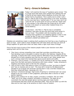# **Part 5 – Errors in Guidance**



Today I will examine the issue of "guidance gone wrong". This is a huge issue that stops many people from seeking the will of God at all and makes others skeptical of all but the most certain forms of guidance. This is partly due to what I call a Plan A / Plan B view of how God works in our lives. According to this view God has a "perfect plan A" for our lives, but if we "miss His will" at some point we end up with the "lesser plan B" and wander in the wilderness like Israel did for 40 years and die in the desert (or some other implied threat of a ruined destiny).

Let me blunt – this Plan A / Plan B view is completely unbiblical. God does not give the Devil that much power to ruin our lives! The problem with the Israelites was not "missing God's guidance" but rebelling against it when it was as plain as day! It was not a mistake in direction – it was persistent unbelief and defiant sin!

Mistakes are sometimes made in seeking God's guidance but God has a way of getting us back on track. God is able to draw straight lines with bent sticks and God can work all things together for good even when we really make a right royal mess of things!

First of all let's look at some of the reasons people make a poor decision even after seeking God's will for their lives:

- 1. *They have a strong compelling inner need that overrides everything else:* e.g. Paul deciding to go to Jerusalem to deliver his gift to the Hebrews despite all the warnings. It seems Paul had a strong need for affirmation from his fellow Jews that blinded him to God's guidance and cost him two years in jail. Other people have such a strong need to be married they ignore sound advice and suffer.
- *2. Finances / Love of money:* (1 Timothy 6:6-10) by wanting to get rich they wander away from the faith and pierce themselves with many a pang – Judas, Annanias & Sapphira and Demas seem to fall into this category.
- 3. *Lack of trust in God:* God seems to slow or to unsure so they "go down to Egypt" and "rely on chariots and on men". The Jews left in Israel by the Babylonians decided to go to Egypt and Jeremiah warned them it was a terrible mistake and that they would die there. (Jeremiah 42:1-22)
- *4. Spiritual / emotional damage:* High levels of spiritual or emotional pain can cause people to be very erratic in their judgment, particularly after a divorce or other painful rejection.
- *5. Being overly zealous for an idea, project, principle or ambition:* We can make "idols" out of our ideas, projects, principles or ambitions. The ideal can so overwhelm the real that people ignore warning signs and make foolish commitments that they would not otherwise make. They are too taken up with the idea and its inner logic to be sensitive to God's voice of wisdom.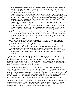- 6. *Expecting spiritual guidance when it is just a matter of common sense.* I know a woman who wrecked her car's engine because she waited four months to "get a sign" about which auto mechanic she should take it to. God also expects us to use the brain which He has given to us.
- 7. *Extreme distrust of the supernatural:* There are some folk who, if God appeared in a dream and told them something very important would put it down to "the pizza I ate last night". They discount anything that cannot be scientifically validated and distrust even their own sense of spiritual authenticity ("the ring of truth"). The Bible calls this "quenching the Spirit".
- 8. *Expecting total guidance*: In other words when they ask "what should I do Lord" they want the twenty year plan in an Excel spreadsheet, broken down into fifteen minute increments with a guaranteed happy ending. God's guidance is often much more immediate and short-term e.g. "Go up and join that chariot". God guides each one step at a time like the Israelites following the cloudy pillar one day at a time.
- 9. *They have their own agenda*: Some people have a definite life plan in mind such as: go to college, land a good job, find an attractive wife, get married, have kids, make a huge amount of money, become a bible study leader, retire in comfort. This can be "non-negotiable" for many people. In such cases they are effectively deaf to the will of God.
- 10. *Impulsiveness*: Some folk just suddenly "jump off the tracks" when they are suddenly and strongly moved by lust or anger. This seems to have been both Peter's and King David's weak point.
- 11. *Logic*: Some people expect God to think the way they think and to be calm, rational, logical and respectable. They are unprepared for guidance that takes them outside of that which is usual and normal – such as a prophetic vision.
- 12. *Stubbornness*: The Jews of Jesus' day were "stiff-necked and stubborn" despite and abundance of miracles. They simply would not believe that Jesus was the Messiah.

This really just touches the tip of a very large iceberg. Basically we are frequently not as willing to do God's will as we would like to think we are. We have hidden conditions (on our obedience) that pop up about five minutes after the spiritual feelings have evaporated. God can tell us to do anything except if: it is difficult, involves learning a language or eating weird food, has any suffering or financial hardship associated with it, means I will remain single, and so on and so forth.

What should we do "the morning after" the dumb decision when we have messed everything up? Is someone who has married an unbeliever forever doomed to spiritual mediocrity? Not necessarily ( and the answer in that particular situation is not necessarily divorce). You get back into fellowship with God by confessing your mistake and you work it out day by day from that point forward. Leave it to God to straighten out the lines. Do not give in to the Accuser and believe that it is "all over". Believe in redemption, forgiveness and grace and be simply obedient as best you can each day thereafter.

David, Peter, Moses and Paul all made catastrophic errors at some point from which they later recovered. God will not let your life be totally derailed unless you give in to your mistake. Faith in grace is the best way forward because we have a God who works all things together for good for those who love Him (Romans 8:28).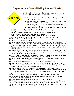# **Chapter 6 – How To Avoid Making A Serious Mistake**



In this study I will continue the topic of "mistakes in guidance" with 40 principles on how to avoid them:

- 1. Pray for wisdom from God and for the filling of the Holy Spirit (James 1:5-8)
- 2. Surround yourself with good, wise people who can advise you well and then listen to them.
- 3. Become aware of your strong desires and their influence over your thinking.
- 4. Write down your decision and the reasons for it, then put

it away for 24 hrs and come back to it and check it.

- 5. Don't give in to impulsiveness. Tell yourself "there is no rush".
- 6. Hand the matter entirely over to the Lord and to His sovereign will.
- 7. Wait until your spirit is calm and your mind is clear
- 8. Check with Scripture first, make daily bible study part of your life
- 9. Ask "What would Jesus do?" and look for godly examples in that area.
- 10. Make noble plans (Isaiah 32:8), that a saintly or truly noble person would do.
- 11. Never violate your conscience
- 12. Never do something if financial gain is the only reason that you are doing it
- 13. The need is not the calling. Do not feel that you "have to" do something because of a great need somewhere in the world. It is easy to end up very burned out and fragmented in soul if you do this. You cannot meet all the world's needs and fight all of its battles.
- 14. If you receive supernatural guidance such as a dream of vision, write it down and check it with godly, positive, faith-filled (non-negative) people who will help you to discern its implications for your life.
- 15. Do not share supernatural guidance with ungodly, unbelieving,skeptical, legalistic or negative people or with those who may be jealous of it.
- 16. Never give into the feeling that "but I just have to", compulsion is from the Devil
- 17. When in doubt don't. At least check with someone else.
- 18. Trust your instincts when they tell you to "pause" and think it over.
- 19. Avoid manipulative people and high-pressure situations (even religious ones)
- 20. Write down all the alternatives that exist, eliminate the sinful ones, remove the foolish or unwise ones then pray over the rest.
- 21. Crunch the numbers and check the fine print before signing anything.
- 22. Stay in control. Maintain mastery. Do not let others control your decision-making. They may imply that you will be "nice" if you "just go along with them" but it is your life and your decision.
- 23. Have clear godly priorities and ask do I really have the time to do this?
- 24. Know the difference between character and personality and have a healthy distrust of "charming" people.
- 25. Know the difference between facts, opinions and projections.
- 26. Carefully look at all aspects strengths, weaknesses, opportunities and threats
- 27. Know the difference between inspiration and infatuation (with an idea)
- 28. Do not let pride and ego fashion the decision. Be prepared to be lowly and gentle.
- 29. If it seems rash and risky it probably is. Ask "who gains and how"?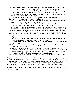- 30. Steer a steady course. Do not make major decisions without much prayer and consultation. Make the small "common-sense" decisions yourself and keep working on the main issue under God's guidance. "It is easier to steer a moving boat". For instance if you are seeking a job start by looking through advertisements and doing the footwork that you can do while praying for God to show you the job that He wants for you.
- 31. Follow love's leadings and do those things that build godly relationships.
- 32. Learn to distinguish the "voices in your head":

a) God's voice is loving, calm and authoritative, reassuring, humble, patient and wise and leaves a solid good feeling behind.

b) Your own voice tends to be skeptical, ambitious, anxious, impatient and needy, or is full of wild daydreams, romances and schemes for significance.

- c) The Devil's voice is hard, powerful, insistent and accusing, proud, compelling or sometimes "sweet", persuasive and tempting. "Must, should, have to...right now"
- 33. Never make a significant decision when you are feeling harassed or are stressed, tired or hungry (A bit like the old adage "Never shop on an empty stomach").
- 34. Revenge is always the wrong decision. Pause for 24 hrs before sending an angry email!
- 35. If you are always "rationalizing" the decision and manufacturing excuses why you have to do it then you are probably trying to do something that your "better self" knows is dubious or wrong and it is trying to warn you.
- 36. Be prepared to "let go" of a cherished plan, idea or tradition if God has something better for you.
- 37. Trends are not necessarily from the Holy Spirit. Do not be blown here and there by whatever is "the latest".
- 38. Ask not only for the plan or the decision but the also for the method and for the means of implementation – even down to the very words that you will use. A great idea can be ruined by a wrong method of putting it into practice. Look for God's Kingdom methods of blessing, fruitfulness and multiplication.
- 39. Leave the long-term outcomes to God. Rest in His leading and trust in His hand.

Keeping a spiritual journal where you write down your ideas, prayers, insights, thoughts and decisions can also be a big help. It can assist you in reflecting deeply on things as we tend to go 'around and around in circles' if we try to do all the thinking just in our own minds. For those who are so inclined "mind-mapping" and diagramming can be useful and I personally recommend FreeMind software (its free) for this express purpose.

[http://freemind.sourceforge.net/wiki/index.php/Main\\_Page](http://freemind.sourceforge.net/wiki/index.php/Main_Page) (you will need to have Java runtime as well)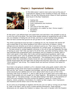#### **Chapter 7 - Supernatural Guidance**



In this bible study I want to look some more at the area of 'supernatural' aspects of the revealing of God's will. Earlier in study 3 we saw the following seven means of God's guidance were found in the New Testament:

- 1. Casting lots
- 2. Dreams and visions
- 3. Inner impressions and intuitions
- 4. Angels
- 5. The voice of the Holy Spirit
- 6. Illumination of a matter by God / Divine insight / Revelation
- 7. Prophecy

At that point I just defined them and noted them and said that it was possible to end up in error but not to be afraid. The next three studies looked at recognizing the will of God, why we mistakes in finding the will of God, and how to avoid making those mistakes. Now we have covered that ground we can go back to the "supernatural stuff".

The whole supernatural area has been a challenge for me. My Christian life started off with a great deal of very direct guidance from God in the forms of dreams, visions, callings and even direction as to who to witness to and so on. Then many of my friends and co-workers became enthusiastic proponents of a certain book on guidance by a Dr. F. The book aimed to combat legalistic extremes in the will of God and especially the idea of having an exact "dot" that you had to hit all the time, and other terrifying notions. This well-intended book emphasized God's sovereignty and our freedom to choose, both of which were good in their place. But it also scorned supernatural guidance, said it was rare and pretty much "only for apostles and super-Christians at key moments in history" and was especially scathing of "inner impressions". The emphasis was on using our godly wisdom within the constraints of God's moral will. Any such decision was "OK". My friends would argue day and night with me about this and they were sure my methods of "direct guidance" was wrong. This created doubt and spiritual confusion that lasted for many years.

Sure God is not going to condemn us for a decision made using godly wisdom within the parameters of the moral will of God as revealed in the commandments of Jesus Christ. And yes the "dot" theory is legalism and bondage, and yes we should use our common sense and God-given abilities and not worry about which shoe to put on first in the morning! That much of what Dr. F. says is right (as far as it goes) and it sure might be a help to those people who are caught up in hyper-legalism. But guidance is not just about "being right" or "not being wrong". It is also about being in the Spirit, in the dynamics of God's love and revelation and that involves the aspects I spoke of in study three – dreams, visions, prophecy, illumination of a matter by God, angels, inner impressions and intuitions and the direct voice of the Holy Spirit.

As we come out of bondage to legalism and the law (are we right or wrong) we are freed to "walk in the Spirit" and to move in these spiritual dimensions. These spiritual dimensions do not replace the freedom to reason, they work in tandem with the freedom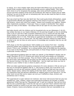to reason. So in Acts chapter eight when the Spirit tells Philip to go up and join the chariot Philip complies and he sees the Ethiopian eunuch reading Isaiah. Then Philip's brain clicks in as he recognizes the passage, asks some pertinent questions of the eunuch and then explains Christ from the Scriptures! We need our brains and our bible training if we are to do that sort of witnessing well. But we also need the Spirit to show us the divine opportunity!

Paul was smart but Paul was also Spirit-led. Paul could quote Greek philosophers, speak to government officials and organize training in the school of Tyrannus – but Paul also had dreams, visions and visits from angels. Reason and revelation go together. Reason often implements revelation. If God says "have a crusade in Smithsville" then reason works out many of the details – but always with an ear open for any extra cues from God.

God talks directly with His children and his household who we are (Ephesians 2:18,19), has written His laws on our hearts (Hebrews 10:16) and has brought us into an anointing (John 2:20,27) and into a New Covenant (Hebrews 8:10,11) where the old men shall dream dreams, the young men shall see visions and the menservants and maidservants shall prophesy Acts 2:17,18). That being so supernatural revelation is our birthright! We are still allowed to use our brains and can still make a decision without an angel telling us what to do, but we have an extra source of knowledge and revelation that we can call on by faith!

Faith plugs us into the supernatural. Faith enables us to receive from God – including receiving wisdom and revelation from the Holy Spirit that builds us up and edifies the Church. (This is not "revelation" as in writing another book of the Bible but the opening of our eyes to the things of God, and particularly to those things needed to glorify God in a particular ministry context).

Now supernatural guidance does not make you special. In fact Balaam's donkey saw an angel! (Numbers 22:23-27) Dreams and visions can puff some people up (Colossians 2:18) but that is not their purpose. They are there to edify you, guide you and show you the will of God. God probably will not show you the name of the anti-Christ or the date of the Second Coming or the fate of the Middle East – but He might just show you how to witness to your mother-in-law or where to plant a church.

When we make supernatural guidance compulsory for every decision in life we end up in the sort of unscriptural legalism that Dr. F. was trying to refute, but if we throw it out altogether we end up with practical unbelief, which is almost as bad and may even be worse. Reason alone, without the leading of the Holy Spirit, tends to give rise to bonedry institutions that just become cathedrals for religious egos to strut around in. On the other hand revival that scorns reason can end up in ineffective chaos, division and sometimes even in heresy.

The supernatural is super-rational not irrational. God never told anyone that two plus two equaled five. Logic, wisdom, reason and supernatural guidance are actually in perfect agreement! When Paul got the "Macedonian call" it was not irrational. Paul did not think that he was a poached egg or that the CIA was out to get him! Paul's rational mind was probably working on where to go next when God provided the answer by supernatural means. Dreams, visions and prophecy can give us answers that are inaccessible to us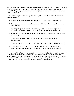through our five senses but which make perfect sense once we perceive them. If we keep Scripture, reason and supernatural revelation together as one whole (because God Himself is Scriptural, rational and supernatural) then we are very unlikely to end up in spiritual deception!

So how do we experience God's spiritual leadings? We can glean some clues from the New Testament:

- 1. By faith, expecting God to reveal His will to us when we ask (James 1:5-8)
- 2. Through prayer, sometimes with worship and fasting, always with thankfulness (Acts 13:1-4)
- 3. By doing things that require supernatural guidance (such as evangelism or missionary work) so that God "turns up" to help us. (Acts chapters 8 and 10)
- 4. By tapping into the inner leadings of the Holy Spirit (Galatians 5:16-18, Romans 8:4-6, 14-26)
- 5. Through the baptism in the Holy Spirit, tongues and prophecy. (Acts 2, 1 Corinthians 14)
- 6. Through other believers ministering in the Spirit (Acts 13:1,2 ; Acts 21:4,10,11)
- 7. Through the impartation of a spirit of wisdom and revelation (Isaiah 11:2, Ephesians 1:17,18; Colossians 1:9,101 Corinthians 2:9-16, 1John 2:20,27)

Yes there are "risks" but I have dealt with those risks in studies 5 & 6, and they must not stop you from seeking God. Fear of the Holy Spirit is demonic. Keep in the Word, maintain your freedom to think clearly and logically and also call on God for the leading of the Holy Spirit so that you might know all the mighty things that God has for your life. There is so much more to Christian ministry than business-like logic!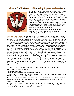### **Chapter 8 – The Process of Receiving Supernatural Guidance**



In the last chapter we started tackling the thorny topic of 'supernatural guidance' through dreams, visions, prophecy, inner impressions, the voice of the Holy Spirit, divine illumination of truth and the ministry of angels. In this series I have spent a lot of time trying to get rid of the 'fear factor' common to most of us from a Western background. God does not mislead and when He invented these means of guidance it was not so that He could mislead us! Today I want to tackle the actual process of receiving such guidance, what it feels like, sounds like and so on and so forth.

First of all we see that divine guidance is generally straightforward and verbal and unmistakable. Let's look at Peter's guidance in Acts chapter 10:

**Acts 10:9-23 HCSB** *The next day, as they were traveling and nearing the city, Peter went up to pray on the housetop at about noon. (10) Then he became hungry and wanted to eat, but while they were preparing something he went into a visionary state. (11) He saw heaven opened and an object coming down that resembled a large sheet being lowered to the earth by its four corners. (12) In it were all the four-footed animals and reptiles of the earth, and the birds of the sky. (13) Then a voice said to him, "Get up, Peter; kill and eat!" (14) "No, Lord!" Peter said. "For I have never eaten anything common and unclean!" (15) Again, a second time, a voice said to him, "What God has made clean, you must not call common." (16) This happened three times, and then the object was taken up into heaven. (17) While Peter was deeply perplexed about what the vision he had seen might mean, the men who had been sent by Cornelius, having asked directions to Simon's house, stood at the gate. (18) They called out, asking if Simon, who was also named Peter, was lodging there. (19) While Peter was thinking about the vision, the Spirit told him, "Three men are here looking for you. (20) Get up, go downstairs, and accompany them with no doubts at all, because I have sent them." (21) Then Peter went down to the men and said, "Here I am, the one you're looking for. What is the reason you're here?" (22) They said, "Cornelius, a centurion, an upright and God-fearing man, who has a good reputation with the whole Jewish nation, was divinely directed by a holy angel to call you to his house and to hear a message from you." (23) Peter then invited them in and gave them lodging. The next day he got up and set out with them, and some of the brothers from Joppa went with him.*

1. Peter is in prayer and receives puzzling vision accompanied by divine instructions in plain language:

"*Arise Peter, kill and eat".* 

*"What God has made clean you must not call common",*

*"Three men are here looking for you. (20) Get up, go downstairs, and accompany them with no doubts at all, because I have sent them."*

2. This is then confirmed by circumstances – he goes downstairs and there are three men and they claim they have seen an angel and been sent to get Peter to go and preach in Cornelius' house.

3. When Peter later gets to Cornelius' house he preaches, they believe, the Spirit falls and they prophesy and speak in tongues - this being divine conformation of Peter having taken the correct course of action. (Acts 10:44-48)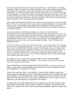God is not being subtle here! God speaks long sentences in 'plain English' (or Hebrew) and Peter is left in no doubt as to what he should do. There is also ample and immediate confirmation of the guidance. Notice also that God does not give a long theological explanation, but rather just gives a plain everyday instruction such as 'arise, kill and eat' or 'go downstairs'. He does not answer Peter's question but just commands 'do not call unclean what God has made clean'. Peter is stretched to breaking point, taken way out of his cultural comfort zone and sent to preach to Gentiles in the house of a heavily armed Roman centurion. This is also typical of God's guidance.

God's supernatural guidance tends to come when our own natural brain 'just cannot get there'. Peter on his own would never have entered a Gentile dwelling, he was too Jewish, too holy, holy, and too deeply acculturated into his categories of clean and unclean. Supernatural guidance came because Peter (and the early church) needed a huge push in a certain direction.

You see our wisdom is limited by our brain, our culture, our training and our circumstances and we have huge blind spots we just cannot get around on our own. Or we just plain lack the information we need and have no way of getting it in time, or there are spiritual conditions that we cannot see in the natural that are really important and should be taken into account. In any of those circumstances we need guidance to be poured into our spirit by God. Let's look at another example – that of Philip and the Ethiopian eunuch.

**Acts 8:26-39 HCSB** *An angel of the Lord spoke to Philip: "Get up and go south to the road that goes down from Jerusalem to desert Gaza." (27) So he got up and went. There was an Ethiopian man, a eunuch and high official of Candace, queen of the Ethiopians, who was in charge of her entire treasury. He had come to worship in Jerusalem (28) and was sitting in his chariot on his way home, reading the prophet Isaiah aloud. (29) The Spirit told Philip, "Go and join that chariot." (30) When Philip ran up to it, he heard him reading the prophet Isaiah, and said, "Do you understand what you're reading… (35) So Philip proceeded to tell him the good news about Jesus, beginning from that Scripture.*

An angel turns up in verse 26 and gives Philip an easily understandable instruction in 'plain English' (or Hebrew) : *"Get up and go south to the road that goes down from Jerusalem to desert Gaza."*

This is followed by a brief instruction from the Holy Spirit: *"Go and join that chariot."* Again it is an easily understandable verbal instruction in plain language without any explanation or assurance of results.

There is no way that Philip 'in the natural', using his own wisdom, could have known about the Ethiopian eunuch. Supernatural guidance of an obedient servant was necessary if the Ethiopian was to be evangelized. And just like the case with Peter this instruction was a bit of a stretch, pulling Philip out of a major revival in Samaria to go and stand at a crossroads in the desert.

In both cases once they obeyed the divine guidance and saw the situation they immediately knew what to do in order to preach the gospel. The guidance took them into a situation for which God had spiritually prepared them to minister with power.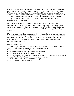Now somewhere along the way I got the idea that God spoke through feelings and impressions and little emotional nudges. But I do not see this in the New Testament. Rather I see God communicating with words, sentences, pictures and so on. The Holy Spirit seems to speak in plain, easy to understand audio-visual language! There is no indication that feelings (other than a clear, peaceful conscience) are a guide to action. In fact in Peter's case his feelings were objecting to the whole idea!

We need to open up to the notion that God will speak to us plainly and unmistakably in our heart language and tell us to do something that we may never have thought of doing. And He probably won't explain it either! (Do you remember my story of the black sweater that led to five young girls finding salvation?)

Often this supernatural guidance came during times of prayer such as Peter on the rooftop or the elders praying and fasting in Antioch or during times of active ministry such as Philip in the Samaritan revival. These were people who were 'praying always in the Spirit' and open to divine revelation and who were immediately obedient to it.

So let's sum this up:

1. Supernatural revelation tends to come when we are 'in the Spirit' in some way - through prayer or during times of active ministry.

- 2. It comes as an instruction that we are to obey.
- 3. It may not have much explanation attached to it.
- 4. It may stretch us out of our comfort zone

5. It may communicate information that we would not otherwise have received because of cultural blind-spots or physical circumstances

- 6. It is in plain, easy-to-understand language
- 7. It is confirmed by later events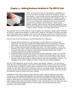## **Chapter 9 – Making Business Decisions In The Will Of God**



So far we have seen that the will of God is revealed to us, by the Holy Spirit; through conscience, Scripture, reason and wisdom, - and through various supernatural means. We have also seen that our weaknesses can mislead us, and looked at various checks and balances in finding God's will for our lives. Finally the conditions conducive to receiving supernatural revelation were looked at – faith, prayer, fasting, worship, active service, and willing obedience. Over the next few studies we will look at the practical applications of this to career, ministry, marriage and so forth.

Joe Business arrives at his office to a pile of papers and decisions. Being a good Christian he wants to make every decision "in God's will". However Joe knows if he prays and fasts over every single piece of paper in his in-box that requires a decision he will miss all his work deadlines and may well be fired. How then can Joe Business make a godly decision?

First Joe has to sort his decisions into the following four categories:

- 1. Routine decisions that he is well-equipped to make due to his training and experience. He just goes ahead and makes these decisions peacefully, faithfully and wisely "as unto the Lord" knowing that God has prepared him for his work.
- 2. Big, complex decisions that will affect his career, the lives of others, or even the business as a whole. These he brings before the Lord and waits for an answer, of course he also uses his wisdom, and training and seeks advice from others including superiors and expert consultants.
- 3. Pressing matters that are time-bound but not that important. These Joe commits to the Lord with a brief "arrow prayer" to heaven and trusts God for the outcome.
- 4. The multitude of small details that are not really his work but which come across his desk. Like Moses acting on Jethro's advice, and like the apostles in Acts 6 – he delegates these minor matters to others. Some he even drops altogether.

Not all of life's decisions come into the "prayer and fasting" category. I do not have a huge decision-making problem over which Christian cartoon to put in the church bulletin in a given week or whether to plant roses or petunias in the church garden. We are not robots, we can make those sort of decisions with our God-given brains. However we do it we end up with some decisions that are planned and somewhat routine, and others that we definitely need to bring to the Lord in prayer.

Delegation is also part of being a godly decision-maker. Mission agencies have been ruined by an over-loaded administrator who refused to delegate and got further and further behind so that critical decisions received minimal attention because everything, large or small had to go through one person. In one mission agency I worked with our team support levels were 24 months "behind", that is donations from two years ago were only just being acknowledged and put in the books! This caused enormous pain, confusion and consternation.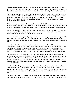Humility is part of godliness and the humble person acknowledges that he or she "can only do so much" and that the rest must be done by others. So Joe Business will clear his desk of the minor matters and them dealt with by his staff or by his executive assistant.

Joe Business also knows the value of having a daily quiet time where he can lay matters before the Lord in the light of God's word and the blessedness of keeping himself pure in heart and collected in mind in invisible inward prayer during the day. Arrow prayers darted up to heaven at odd moments help to keep Joe Business conscious of the Lord even on the busiest of days.

Ethics are a big part of Joe's business life and certain decisions are just automatic. Joe does no shady deals and is honest in all his dealings with the government. Eventually this pays off in less litigation and in a good reputation among his peers and his customers.

Sometimes Joe gets a good idea that he acknowledges as being "from the Lord" and he has become sensitive to this guidance as well as to the inner promptings that tell him when someone is dishonest or when something is awry.

Joe follows biblical principles of giving and as a result he reaps a harvest. He is guided by God's Word in his 'sowing' to those who feed him spiritually. He also blesses Kingdom projects and is compassionate toward the poor and needy so that God is also kind toward him.

Joe walks in the Spirit and does not listen to the flesh or to its selfish ambitions. Consequently Joe is spared from those follies that come from over-extending a business. Joe does not engage in squabbles or fights or office politics and so builds trust and friendship that stands him in good stead when the times are tough. Joe often listens to the Lord's nudges about how to treat others and is known as someone who truly cares.

Joe meditates on God's Word day and night and ponders how to be a truly Christian businessman and how he should lead, not as a worldly dictator but as a humble servant leader and Christian example. Joe does not exalt himself over others but humbles himself before the Lord and so is exalted in due time. As Joe ponders the Scriptures God reveals precious principles about life and godliness and gives him wisdom regarding his business and his leadership.

Joe attends Full Gospel Businessmen's Fellowship International and there he has found some buddies that he prays with and they have covenanted to keep each other accountable. Sometimes he even gets a prophecy or word of wisdom and knowledge that he writes down and keeps in a notebook that he prays over and watches over in the Spirit.

Joe walks with God in all his decision-making, as one who fears the Lord; Joe Business is like a green tree planted by streams of water and prospers in all that he does (Psalm 1).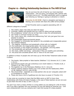# **Chapter 10 – Making Relationship Decisions In The Will Of God**



How do we know the will of God for our most important relationships – who we marry, do business with, partner with in ministry and so on? The Bible specifically warns us against just following our feelings or going on attraction or charm:

**Proverbs 31:30 HCSB** *Charm is deceptive and beauty is fleeting, but a woman who fears the LORD will be praised.*

In fact Proverbs warns us against associating with 14

different categories of people:

- 1. The violent, angry man (lest you learn his ways)
- 2. Criminals, robbers and bandits who lie in wait for others and get punished
- 3. The unrighteous 'wicked' who do not fear God or obey His commandments
- 4. The 'harlot' or immoral woman (or man)
- 5. The overly naive, silly, unwise and undiscerning 'fool' who just goes from one disaster to another.
- 6. The unteachable stupid and boorish person
- 7. The 'sluggard' or chronically lazy person & the unreliable and irresponsible person
- 8. The insincere flatterer
- 9. The nagging, contentious and perpetually critical wife (or husband)
- 10. The loudmouth, the inappropriate jester, the mocker and scoffer
- 11.The drunkard, or the modern equivalents the gambler, and drug addict
- 12. The emotionally and spiritually out-of-control person
- 13. The mean, selfish and stingy particularly if they are wealthy and controlling
- 14. The proud and conceited person who is "wise on his own eyes"

In addition to these 14 people who will mess up our life the New Testament adds at least 6 others:

- 1. The heretic, false prophet or false teacher (Matthew 7:15, Romans 16:17, 2 John 1:10,11)
- 2. Quarrelsome people who get contentious over small matters (1 Timothy 6;20, 2 Timothy 2:16, Titus 3:9,10)
- 3. The legalistic (as in the Pharisees) (Matthew 10:17, 16:6,12)
- 4. Position-seeking religious leaders (as in the scribes and the Sadducees) (Mark 12:38, Matthew 16:6,12, Luke 20:46)
- 5. The unconverted especially as a close partner who we are 'unequally yoked with' (2 Corinthians 6:14-18)
- 6. Those who have a form of godliness but who have no power (2 Timothy 3:5)

It may come as a surprise to many that the Bible warns us NOT to have close relationships with these 20 kinds of people, in the case of false teachers we are not even to give them the time of day (2 John 1:10,11)!

You see if you marry a heavy drinker or a drug addict you are asking for a life of misery and if you take a gambler into your business you are just asking for financial ruin – and even embezzlement! And you certainly don't want the counsel of a false prophet!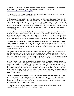In the case of marrying unbelievers I have written a whole article on it which lists nine good biblical reasons why it is a huge mistake and you can find that at: <http://www.aibi.ph/articles/noway.htm>

The Bible tells us to choose our friends, business partners, ministry partners - and of course our husband or wife with great care!

Finding God's will starts with following God's good advice in the first place! Your friends do not all have to be boring - but they do have to be good, wise and reliable. If you are caught up in a friendship that is destructive, first go to prayer and ask God to 'break the soul tie in Jesus' Name'. Break the emotional bond that holds you to that wrong person (I am not talking about a marriage here). Start moving away from the negative influence of that person as swiftly and as decisively as you can – even if they are very manipulative and charming.

I used to be very easily controlled by forceful and highly manipulative people. I wanted to "be nice" and to avoid conflict and to be cooperative and kind. People readily took advantage of me and I never even knew how! Until I read Proverbs and realized God did NOT want me to 'just accept' everyone and to readily associate with everyone! The godly person was also supposed to be wise and street-smart about people and their intentions!

Now I can still be fooled, but I am trying to be wise! God also helps me by giving me the Holy Spirit to open my eyes to the nature of people. God helps me to notice things like certain facts that do not add up, or the people they hang out with – or do not hang out with (e.g. are they always surrounded by "Yes Men'). God can help you to make wise relationship decisions!

God also arranges 'divine appointments' where we meet someone who becomes a good friend or a mentor or a source of encouragement or even our husband or our wife. God will lead you to frank, honest, born-again, Bible-believing folk who walk in the Spirit and the truth. They might not be the most comfortable people at first, they may even be very plain and unattractive at first glance, but they will bring a mighty blessing into your life!

Look at 'the fruit' – are they a good solid Christian? Do they have the fruit of the Spirit – particularly love, joy, peace, patience and humility? Have they achieved something with their life or are they 'just a load of hot air'? Do they treat their friends and family with gentleness, courtesy and respect? Are they generous and do they enjoy being a blessing or are they stingy and materialistic, a lover of money and of self? Are they positive and full of faith? Are they wise and prudent or are they someone who you will always have to 'pick up the pieces' after? What are their actions and reactions like? Does their life line up with the word of God?

Finally do they fill you with peace when you are with them? Does it feel good and solid and affirming to be around them - or are you always on edge? Do they feel safe and good and strong or does something tell you that this is 'risky'? Do these subjective tests AFTER you have checked them out using the other criteria because our feelings can fool us (especially when we want them to!).

The people in your life can make you or break you – so choose them carefully and prayerfully and follow God's good advice in the Bible!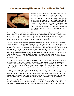## **Chapter 11 – Making Ministry Decisions In The Will Of God**



How do we know the will of God for our ministry? In some ways this is the hardest of our questions because there is so much 'static' and misleading information around. On one hand we are encouraged to aim high, for instance to 'have the biggest church in the world' (which common sense tells us only one person can have at any one time) or we feel we must go to the most remote and difficult tribe or the most depressing slum if we are to have a 'real ministry', or alternatively we must work all the miracles of the Apostle Paul.

This kind of extreme thinking, that virtue only lies at the weird boundaries of reality, makes those of us with 'ordinary' ministries long for something different. When we pray for God's will we hope that it will be something wild, adventurous and highly significant. And that can lead to errors – a church that is built way too big for the congregation, or an intense evangelistic campaign that simply exhausts everyone.

God's will might just be faithfully pastoring a Baptist church of 75 members year after year and caring for the sheep with love and care and the Word of God! One analogy that helped me, when I was living near the Great Barrier Reef in Australia, was to think of the enormous variety of sea creatures around the reef. Some are immense like the whales or the grouper, others are tiny gleaming fish that swim among the corals, and then you have the mid-sized fish, the bream and the mackerel and the Red Emperor. Now each fish has its God-give size and God-given nature and God-given habitat. I think much the same applies to our ministries. God has a plan for us, a size of ministry that we can handle and be faithful to, a nature of ministry that we are suited to, and a place where we should best serve.

1 Corinthians 3:10-15 makes it very clear that God is mainly concerned with the quality of our ministry, much more than the quantity. We are to build with "gold, silver, and precious stones" which are generally smaller and finer objects than those built with "wood, hay and stubble". You can build a huge haystack in a few days – but it might take a year to build something in gold! But it is the 'gold' ministry that God wants.

This leads us to a key question we can ask ourselves: "What can I do that is truly beautiful for God, that is gold, silver and precious stones, that shines with Christ and will bring Him honor, glory and worship?" When we ask that question we tend to banish all thoughts of rising up in the Christian hierarchy, or of some grand boastful self-exalting project! The will of God is not about our importance, it is about God's importance!

The most beautiful thing you can do for God might be to start a prayer meeting, or help the poor, or to minister to the disabled or to teach bible students who are thirsty for God's Word, or to visit the sick in hospital and to pray for them and for their families.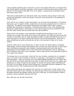I have ceased wondering why 'everyone' is not on the mission field and I no longer think that 'being radical' is terribly necessary. Each servant of God has their place and the vast bulk are 'in the middle of the Bell curve' so to speak – because that is precisely where God wants them to be!

That said we should take our God-given place very seriously and go about it with zeal, energy and dedication, with much prayer, and with much sensitivity to the leadings of the Holy Spirit.

God's will for our ministry is often grounded in our previous life preparation. If someone has grown up in a pastor's family, maybe the Lord was also preparing him for a life as a clergyman. If someone has traveled extensively and relates well to other cultures, perhaps they should be a missionary. If teaching sets them on fire, then perhaps they should be a bible teacher. God builds our lives and ministries brick by wonderful brick. And the newer blocks tend to be laid upon the old foundation.

God's will for our ministry is also generally something that stretches us out of our comfort zone a little! God wants us to grow in the process. We might not have to go and minister to cannibals, but we might be called to pastor a tough and difficult church or to work long hours or to teach courses that require a lot of new preparation. God's will is often something we know we should do, but are a bit reluctant to take on for some reason.

However God's will is never destructive. It does not tear our family apart or endanger other people. Extreme stress and extreme risk is rarely ever God's will and in most cases such risk-taking is generally more related to spiritual pride than to the Holy Spirit. (Remember In Acts chapters 20 & 21 the Holy Spirit told Paul NOT to go to Jerusalem, but he foolishly went and it was a disaster). God is wise and His will is generally a path of love, peace and wisdom.

This brings me to my next point. God's will for your ministry is always for an increase in love. If it is just a mere increase in activity, in busyness, in striving and in impatience and exhaustion – then you are just out in the field building haystacks all over again! Are the fruit of the Holy Spirit ripening on the tree? Is there much more love, joy, peace and kindness as a result of what you are doing? Or are the fruit going rotten and falling off the tree? Is love falling off and control taking over? Has peace become impatience? Has joy become hurry? Has kindness become high expectations?

God is Spirit and those who worship Him must do so in Spirit and in Truth (John 4:24) and that means that if your ministry is to become part of the true worship of God it will be deeply spiritual and deeply truthful and very Christ-like. It will be beautiful, faithful, precious, loving, peaceful, gracious and kind.

Now what can you do that is like that?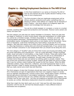## **Chapter 12 – Making Employment Decisions In The Will Of God**



In this final installment in our series on Knowing The Will of God we will examine the area of godly decision-making in the area of one's employment.

The first principle is that any legitimate employment will be ethical, positive, productive and useful; something that is a blessing to others; that reflects our original role as stewards of God's Creation - and which allows us to diligently apply the wisdom and knowledge that God gives us.

You can be a street-sweeper or a surgeon, a nurse or a nuclear scientist, anything that is good and productive and honorable. However some careers are clearly not God's will:

The first category are jobs that are clearly forbidden to Christians. These are jobs that are illegal or unethical, or which involve deceit, lying and manipulation on a daily basis. You cannot be a Christian burglar, Christian drug-dealer or Christian con-artist. Jobs involving blatant dishonesty, misrepresentation of products, financial short-cuts, taxminimization scams, immigration scams and so on are clearly not for the believer. Some forms of deceptive multi-level marketing and "hard-selling" would also fit in this category. Also jobs that require you to deny Christ or promote idolatry such as working in a New Age bookstore or selling idols and witchcraft paraphernalia. If you cannot have a clear Christian conscience in your employment then you should not be doing the work.

The next category of "doubtful" jobs are those that involve pure buying and selling, that are purely speculative and unproductive – such as a gold speculator, foreign exchange trader, buyer and seller of commodities, or day trader of stocks. These jobs neither help people's growth nor produce useful products. They are not part of our stewardship of Creation and they are without compassion. No gold trader considers the poor! In Christian terms these jobs are sub-optimal as nothing useful is actually created. They just involve the movement of pieces of paper. Ezekiel 28 calls Satan the prince of trade and it was his ruthless violent trading that caused his fall from heaven. While the Bible celebrates soldiers, kings, fishermen, craftsmen, and small businessmen there is not a single merchant, trader or banker among the major heroes of faith in the Bible. It seems that you really cannot serve both God and Mammon.

The third category of jobs that Christians should stay away from are those jobs that while OK in themselves are part of organizations that have very negative impact on society such as cigarette manufacturing, running a liquor store, selling lottery tickets, producing banned agricultural chemicals or carcinogenic substances, 'sweatshop' style manufacturing, and firms that are very ruthless with their franchisees and suppliers. The Christian may be just a pay clerk - but they are enabling an operation that is detrimental to society as a whole. Alternative employment should be considered, if at all possible.

What then might the Holy Spirit want you to do? God was fine with Jesus being a carpenter until He was 30, and God has blessed people in many different kinds of businesses and occupations.